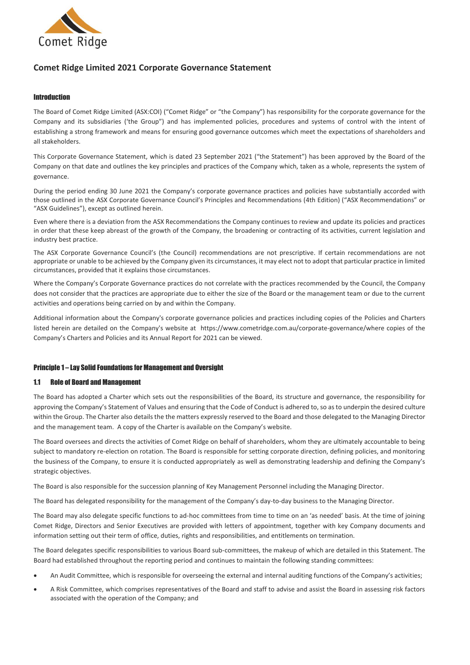

# **Comet Ridge Limited 2021 Corporate Governance Statement**

### Introduction

The Board of Comet Ridge Limited (ASX:COI) ("Comet Ridge" or "the Company") has responsibility for the corporate governance for the Company and its subsidiaries ('the Group") and has implemented policies, procedures and systems of control with the intent of establishing a strong framework and means for ensuring good governance outcomes which meet the expectations of shareholders and all stakeholders.

This Corporate Governance Statement, which is dated 23 September 2021 ("the Statement") has been approved by the Board of the Company on that date and outlines the key principles and practices of the Company which, taken as a whole, represents the system of governance.

During the period ending 30 June 2021 the Company's corporate governance practices and policies have substantially accorded with those outlined in the ASX Corporate Governance Council's Principles and Recommendations (4th Edition) ("ASX Recommendations" or "ASX Guidelines"), except as outlined herein.

Even where there is a deviation from the ASX Recommendations the Company continues to review and update its policies and practices in order that these keep abreast of the growth of the Company, the broadening or contracting of its activities, current legislation and industry best practice.

The ASX Corporate Governance Council's (the Council) recommendations are not prescriptive. If certain recommendations are not appropriate or unable to be achieved by the Company given its circumstances, it may elect not to adopt that particular practice in limited circumstances, provided that it explains those circumstances.

Where the Company's Corporate Governance practices do not correlate with the practices recommended by the Council, the Company does not consider that the practices are appropriate due to either the size of the Board or the management team or due to the current activities and operations being carried on by and within the Company.

Additional information about the Company's corporate governance policies and practices including copies of the Policies and Charters listed herein are detailed on the Company's website at https://www.cometridge.com.au/corporate-governance/where copies of the Company's Charters and Policies and its Annual Report for 2021 can be viewed.

# Principle 1 – Lay Solid Foundations for Management and Oversight

#### 1.1 Role of Board and Management

The Board has adopted a Charter which sets out the responsibilities of the Board, its structure and governance, the responsibility for approving the Company's Statement of Values and ensuring that the Code of Conduct is adhered to, so as to underpin the desired culture within the Group. The Charter also details the the matters expressly reserved to the Board and those delegated to the Managing Director and the management team. A copy of the Charter is available on the Company's website.

The Board oversees and directs the activities of Comet Ridge on behalf of shareholders, whom they are ultimately accountable to being subject to mandatory re-election on rotation. The Board is responsible for setting corporate direction, defining policies, and monitoring the business of the Company, to ensure it is conducted appropriately as well as demonstrating leadership and defining the Company's strategic objectives.

The Board is also responsible for the succession planning of Key Management Personnel including the Managing Director.

The Board has delegated responsibility for the management of the Company's day-to-day business to the Managing Director.

The Board may also delegate specific functions to ad-hoc committees from time to time on an 'as needed' basis. At the time of joining Comet Ridge, Directors and Senior Executives are provided with letters of appointment, together with key Company documents and information setting out their term of office, duties, rights and responsibilities, and entitlements on termination.

The Board delegates specific responsibilities to various Board sub-committees, the makeup of which are detailed in this Statement. The Board had established throughout the reporting period and continues to maintain the following standing committees:

- An Audit Committee, which is responsible for overseeing the external and internal auditing functions of the Company's activities;
- A Risk Committee, which comprises representatives of the Board and staff to advise and assist the Board in assessing risk factors associated with the operation of the Company; and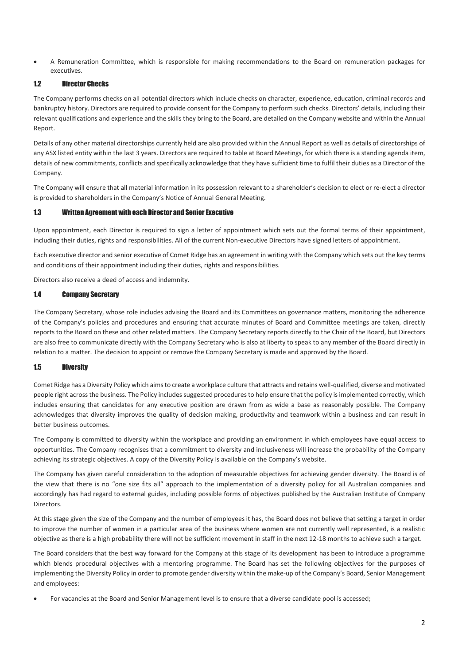• A Remuneration Committee, which is responsible for making recommendations to the Board on remuneration packages for executives.

# 1.2 Director Checks

The Company performs checks on all potential directors which include checks on character, experience, education, criminal records and bankruptcy history. Directors are required to provide consent for the Company to perform such checks. Directors' details, including their relevant qualifications and experience and the skills they bring to the Board, are detailed on the Company website and within the Annual Report.

Details of any other material directorships currently held are also provided within the Annual Report as well as details of directorships of any ASX listed entity within the last 3 years. Directors are required to table at Board Meetings, for which there is a standing agenda item, details of new commitments, conflicts and specifically acknowledge that they have sufficient time to fulfil their duties as a Director of the Company.

The Company will ensure that all material information in its possession relevant to a shareholder's decision to elect or re-elect a director is provided to shareholders in the Company's Notice of Annual General Meeting.

#### 1.3 Written Agreement with each Director and Senior Executive

Upon appointment, each Director is required to sign a letter of appointment which sets out the formal terms of their appointment, including their duties, rights and responsibilities. All of the current Non-executive Directors have signed letters of appointment.

Each executive director and senior executive of Comet Ridge has an agreement in writing with the Company which sets out the key terms and conditions of their appointment including their duties, rights and responsibilities.

Directors also receive a deed of access and indemnity.

#### 1.4 Company Secretary

The Company Secretary, whose role includes advising the Board and its Committees on governance matters, monitoring the adherence of the Company's policies and procedures and ensuring that accurate minutes of Board and Committee meetings are taken, directly reports to the Board on these and other related matters. The Company Secretary reports directly to the Chair of the Board, but Directors are also free to communicate directly with the Company Secretary who is also at liberty to speak to any member of the Board directly in relation to a matter. The decision to appoint or remove the Company Secretary is made and approved by the Board.

#### 1.5 Diversity

Comet Ridge has a Diversity Policy which aims to create a workplace culture that attracts and retains well-qualified, diverse and motivated people right across the business. The Policy includes suggested procedures to help ensure that the policy is implemented correctly, which includes ensuring that candidates for any executive position are drawn from as wide a base as reasonably possible. The Company acknowledges that diversity improves the quality of decision making, productivity and teamwork within a business and can result in better business outcomes.

The Company is committed to diversity within the workplace and providing an environment in which employees have equal access to opportunities. The Company recognises that a commitment to diversity and inclusiveness will increase the probability of the Company achieving its strategic objectives. A copy of the Diversity Policy is available on the Company's website.

The Company has given careful consideration to the adoption of measurable objectives for achieving gender diversity. The Board is of the view that there is no "one size fits all" approach to the implementation of a diversity policy for all Australian companies and accordingly has had regard to external guides, including possible forms of objectives published by the Australian Institute of Company Directors.

At this stage given the size of the Company and the number of employees it has, the Board does not believe that setting a target in order to improve the number of women in a particular area of the business where women are not currently well represented, is a realistic objective as there is a high probability there will not be sufficient movement in staff in the next 12-18 months to achieve such a target.

The Board considers that the best way forward for the Company at this stage of its development has been to introduce a programme which blends procedural objectives with a mentoring programme. The Board has set the following objectives for the purposes of implementing the Diversity Policy in order to promote gender diversity within the make-up of the Company's Board, Senior Management and employees:

• For vacancies at the Board and Senior Management level is to ensure that a diverse candidate pool is accessed;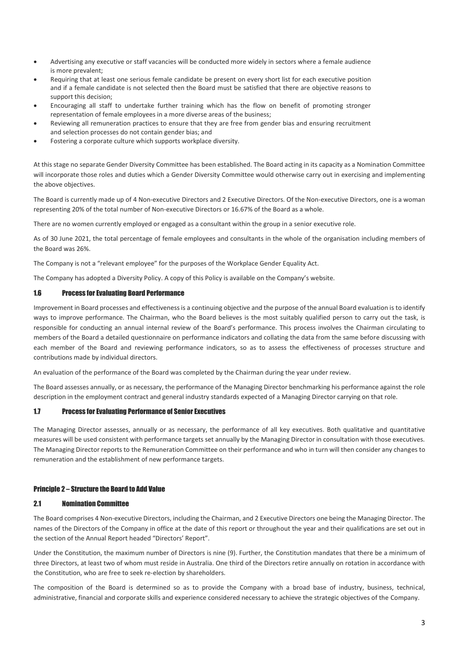- Advertising any executive or staff vacancies will be conducted more widely in sectors where a female audience is more prevalent;
- Requiring that at least one serious female candidate be present on every short list for each executive position and if a female candidate is not selected then the Board must be satisfied that there are objective reasons to support this decision;
- Encouraging all staff to undertake further training which has the flow on benefit of promoting stronger representation of female employees in a more diverse areas of the business;
- Reviewing all remuneration practices to ensure that they are free from gender bias and ensuring recruitment and selection processes do not contain gender bias; and
- Fostering a corporate culture which supports workplace diversity.

At this stage no separate Gender Diversity Committee has been established. The Board acting in its capacity as a Nomination Committee will incorporate those roles and duties which a Gender Diversity Committee would otherwise carry out in exercising and implementing the above objectives.

The Board is currently made up of 4 Non-executive Directors and 2 Executive Directors. Of the Non-executive Directors, one is a woman representing 20% of the total number of Non-executive Directors or 16.67% of the Board as a whole.

There are no women currently employed or engaged as a consultant within the group in a senior executive role.

As of 30 June 2021, the total percentage of female employees and consultants in the whole of the organisation including members of the Board was 26%.

The Company is not a "relevant employee" for the purposes of the Workplace Gender Equality Act.

The Company has adopted a Diversity Policy. A copy of this Policy is available on the Company's website.

### 1.6 Process for Evaluating Board Performance

Improvement in Board processes and effectiveness is a continuing objective and the purpose of the annual Board evaluation is to identify ways to improve performance. The Chairman, who the Board believes is the most suitably qualified person to carry out the task, is responsible for conducting an annual internal review of the Board's performance. This process involves the Chairman circulating to members of the Board a detailed questionnaire on performance indicators and collating the data from the same before discussing with each member of the Board and reviewing performance indicators, so as to assess the effectiveness of processes structure and contributions made by individual directors.

An evaluation of the performance of the Board was completed by the Chairman during the year under review.

The Board assesses annually, or as necessary, the performance of the Managing Director benchmarking his performance against the role description in the employment contract and general industry standards expected of a Managing Director carrying on that role.

#### 1.7 Process for Evaluating Performance of Senior Executives

The Managing Director assesses, annually or as necessary, the performance of all key executives. Both qualitative and quantitative measures will be used consistent with performance targets set annually by the Managing Director in consultation with those executives. The Managing Director reports to the Remuneration Committee on their performance and who in turn will then consider any changes to remuneration and the establishment of new performance targets.

# Principle 2 – Structure the Board to Add Value

#### 2.1 Nomination Committee

The Board comprises 4 Non-executive Directors, including the Chairman, and 2 Executive Directors one being the Managing Director. The names of the Directors of the Company in office at the date of this report or throughout the year and their qualifications are set out in the section of the Annual Report headed "Directors' Report".

Under the Constitution, the maximum number of Directors is nine (9). Further, the Constitution mandates that there be a minimum of three Directors, at least two of whom must reside in Australia. One third of the Directors retire annually on rotation in accordance with the Constitution, who are free to seek re-election by shareholders.

The composition of the Board is determined so as to provide the Company with a broad base of industry, business, technical, administrative, financial and corporate skills and experience considered necessary to achieve the strategic objectives of the Company.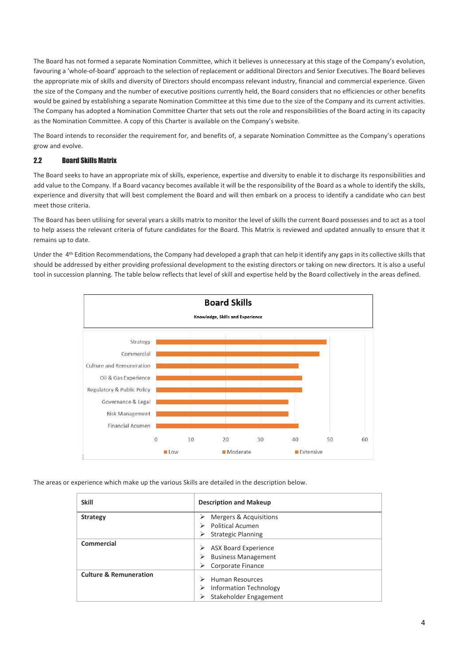The Board has not formed a separate Nomination Committee, which it believes is unnecessary at this stage of the Company's evolution, favouring a 'whole-of-board' approach to the selection of replacement or additional Directors and Senior Executives. The Board believes the appropriate mix of skills and diversity of Directors should encompass relevant industry, financial and commercial experience. Given the size of the Company and the number of executive positions currently held, the Board considers that no efficiencies or other benefits would be gained by establishing a separate Nomination Committee at this time due to the size of the Company and its current activities. The Company has adopted a Nomination Committee Charter that sets out the role and responsibilities of the Board acting in its capacity as the Nomination Committee. A copy of this Charter is available on the Company's website.

The Board intends to reconsider the requirement for, and benefits of, a separate Nomination Committee as the Company's operations grow and evolve.

# 2.2 Board Skills Matrix

The Board seeks to have an appropriate mix of skills, experience, expertise and diversity to enable it to discharge its responsibilities and add value to the Company. If a Board vacancy becomes available it will be the responsibility of the Board as a whole to identify the skills, experience and diversity that will best complement the Board and will then embark on a process to identify a candidate who can best meet those criteria.

The Board has been utilising for several years a skills matrix to monitor the level of skills the current Board possesses and to act as a tool to help assess the relevant criteria of future candidates for the Board. This Matrix is reviewed and updated annually to ensure that it remains up to date.

Under the 4<sup>th</sup> Edition Recommendations, the Company had developed a graph that can help it identify any gaps in its collective skills that should be addressed by either providing professional development to the existing directors or taking on new directors. It is also a useful tool in succession planning. The table below reflects that level of skill and expertise held by the Board collectively in the areas defined.



The areas or experience which make up the various Skills are detailed in the description below.

| <b>Skill</b>                      | <b>Description and Makeup</b>                                     |
|-----------------------------------|-------------------------------------------------------------------|
| <b>Strategy</b>                   | Mergers & Acquisitions<br>⋗                                       |
|                                   | <b>Political Acumen</b><br>⋗                                      |
|                                   | <b>Strategic Planning</b><br>⋗                                    |
| Commercial                        | <b>ASX Board Experience</b><br>➤<br><b>Business Management</b>    |
|                                   | Corporate Finance<br>⋗                                            |
| <b>Culture &amp; Remuneration</b> | <b>Human Resources</b><br>↘<br><b>Information Technology</b><br>⋗ |
|                                   | Stakeholder Engagement                                            |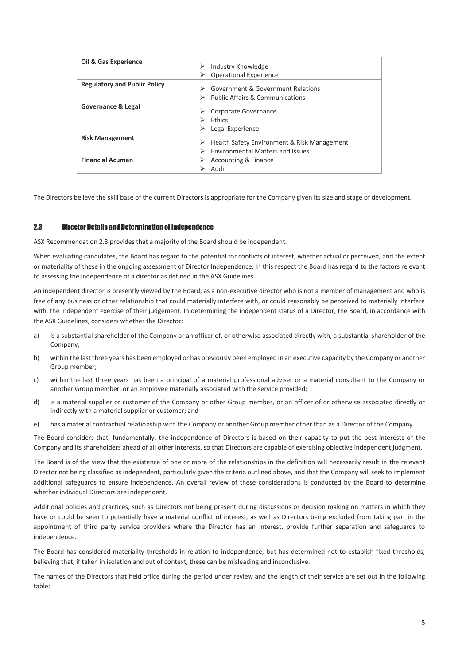| Industry Knowledge<br>➤<br><b>Operational Experience</b>                                    |
|---------------------------------------------------------------------------------------------|
| Government & Government Relations<br>⋗<br><b>Public Affairs &amp; Communications</b>        |
| Corporate Governance<br><b>Fthics</b><br>Legal Experience<br>⋗                              |
| Health Safety Environment & Risk Management<br>➤<br><b>Environmental Matters and Issues</b> |
| Accounting & Finance<br>⋗<br>Audit                                                          |
|                                                                                             |

The Directors believe the skill base of the current Directors is appropriate for the Company given its size and stage of development.

#### 2.3 Director Details and Determination of Independence

ASX Recommendation 2.3 provides that a majority of the Board should be independent.

When evaluating candidates, the Board has regard to the potential for conflicts of interest, whether actual or perceived, and the extent or materiality of these in the ongoing assessment of Director Independence. In this respect the Board has regard to the factors relevant to assessing the independence of a director as defined in the ASX Guidelines.

An independent director is presently viewed by the Board, as a non-executive director who is not a member of management and who is free of any business or other relationship that could materially interfere with, or could reasonably be perceived to materially interfere with, the independent exercise of their judgement. In determining the independent status of a Director, the Board, in accordance with the ASX Guidelines, considers whether the Director:

- a) is a substantial shareholder of the Company or an officer of, or otherwise associated directly with, a substantial shareholder of the Company;
- b) within the last three years has been employed or has previously been employed in an executive capacity by the Company or another Group member;
- c) within the last three years has been a principal of a material professional adviser or a material consultant to the Company or another Group member, or an employee materially associated with the service provided;
- d) is a material supplier or customer of the Company or other Group member, or an officer of or otherwise associated directly or indirectly with a material supplier or customer; and
- e) has a material contractual relationship with the Company or another Group member other than as a Director of the Company.

The Board considers that, fundamentally, the independence of Directors is based on their capacity to put the best interests of the Company and its shareholders ahead of all other interests, so that Directors are capable of exercising objective independent judgment.

The Board is of the view that the existence of one or more of the relationships in the definition will necessarily result in the relevant Director not being classified as independent, particularly given the criteria outlined above, and that the Company will seek to implement additional safeguards to ensure independence. An overall review of these considerations is conducted by the Board to determine whether individual Directors are independent.

Additional policies and practices, such as Directors not being present during discussions or decision making on matters in which they have or could be seen to potentially have a material conflict of interest, as well as Directors being excluded from taking part in the appointment of third party service providers where the Director has an interest, provide further separation and safeguards to independence.

The Board has considered materiality thresholds in relation to independence, but has determined not to establish fixed thresholds, believing that, if taken in isolation and out of context, these can be misleading and inconclusive.

The names of the Directors that held office during the period under review and the length of their service are set out in the following table: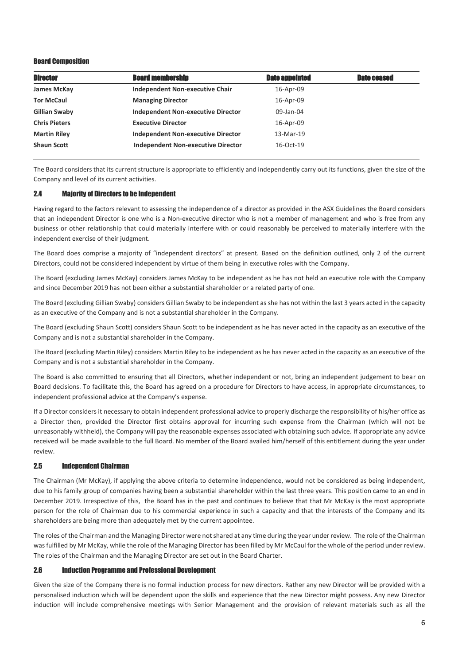### Board Composition

| <b>Director</b>      | <b>Board membership</b>                   | <b>Date appointed</b> | <b>Date ceased</b> |
|----------------------|-------------------------------------------|-----------------------|--------------------|
| James McKay          | <b>Independent Non-executive Chair</b>    | 16-Apr-09             |                    |
| <b>Tor McCaul</b>    | <b>Managing Director</b>                  | 16-Apr-09             |                    |
| Gillian Swaby        | <b>Independent Non-executive Director</b> | 09-Jan-04             |                    |
| <b>Chris Pieters</b> | <b>Executive Director</b>                 | 16-Apr-09             |                    |
| <b>Martin Riley</b>  | <b>Independent Non-executive Director</b> | 13-Mar-19             |                    |
| <b>Shaun Scott</b>   | <b>Independent Non-executive Director</b> | 16-Oct-19             |                    |

The Board considers that its current structure is appropriate to efficiently and independently carry out its functions, given the size of the Company and level of its current activities.

#### 2.4 Majority of Directors to be Independent

Having regard to the factors relevant to assessing the independence of a director as provided in the ASX Guidelines the Board considers that an independent Director is one who is a Non-executive director who is not a member of management and who is free from any business or other relationship that could materially interfere with or could reasonably be perceived to materially interfere with the independent exercise of their judgment.

The Board does comprise a majority of "independent directors" at present. Based on the definition outlined, only 2 of the current Directors, could not be considered independent by virtue of them being in executive roles with the Company.

The Board (excluding James McKay) considers James McKay to be independent as he has not held an executive role with the Company and since December 2019 has not been either a substantial shareholder or a related party of one.

The Board (excluding Gillian Swaby) considers Gillian Swaby to be independent as she has not within the last 3 years acted in the capacity as an executive of the Company and is not a substantial shareholder in the Company.

The Board (excluding Shaun Scott) considers Shaun Scott to be independent as he has never acted in the capacity as an executive of the Company and is not a substantial shareholder in the Company.

The Board (excluding Martin Riley) considers Martin Riley to be independent as he has never acted in the capacity as an executive of the Company and is not a substantial shareholder in the Company.

The Board is also committed to ensuring that all Directors, whether independent or not, bring an independent judgement to bear on Board decisions. To facilitate this, the Board has agreed on a procedure for Directors to have access, in appropriate circumstances, to independent professional advice at the Company's expense.

If a Director considers it necessary to obtain independent professional advice to properly discharge the responsibility of his/her office as a Director then, provided the Director first obtains approval for incurring such expense from the Chairman (which will not be unreasonably withheld), the Company will pay the reasonable expenses associated with obtaining such advice. If appropriate any advice received will be made available to the full Board. No member of the Board availed him/herself of this entitlement during the year under review.

#### 2.5 Independent Chairman

The Chairman (Mr McKay), if applying the above criteria to determine independence, would not be considered as being independent, due to his family group of companies having been a substantial shareholder within the last three years. This position came to an end in December 2019. Irrespective of this, the Board has in the past and continues to believe that that Mr McKay is the most appropriate person for the role of Chairman due to his commercial experience in such a capacity and that the interests of the Company and its shareholders are being more than adequately met by the current appointee.

The roles of the Chairman and the Managing Director were not shared at any time during the year under review. The role of the Chairman was fulfilled by Mr McKay, while the role of the Managing Director has been filled by Mr McCaul for the whole of the period under review. The roles of the Chairman and the Managing Director are set out in the Board Charter.

#### 2.6 Induction Programme and Professional Development

Given the size of the Company there is no formal induction process for new directors. Rather any new Director will be provided with a personalised induction which will be dependent upon the skills and experience that the new Director might possess. Any new Director induction will include comprehensive meetings with Senior Management and the provision of relevant materials such as all the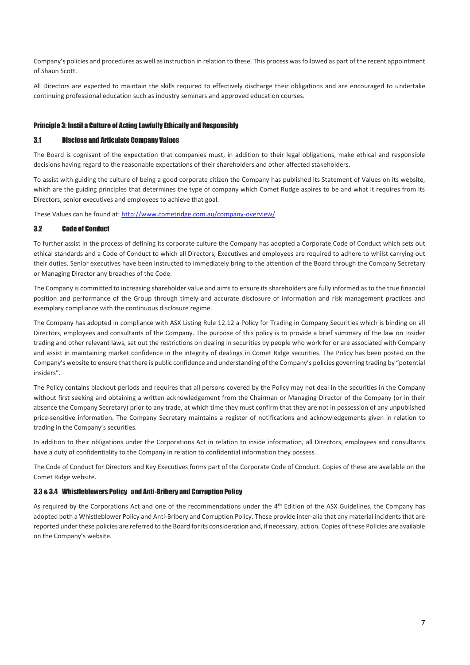Company's policies and procedures as well as instruction in relation to these. This process was followed as part of the recent appointment of Shaun Scott.

All Directors are expected to maintain the skills required to effectively discharge their obligations and are encouraged to undertake continuing professional education such as industry seminars and approved education courses.

### Principle 3: Instil a Culture of Acting Lawfully Ethically and Responsibly

#### 3.1 Disclose and Articulate Company Values

The Board is cognisant of the expectation that companies must, in addition to their legal obligations, make ethical and responsible decisions having regard to the reasonable expectations of their shareholders and other affected stakeholders.

To assist with guiding the culture of being a good corporate citizen the Company has published its Statement of Values on its website, which are the guiding principles that determines the type of company which Comet Rudge aspires to be and what it requires from its Directors, senior executives and employees to achieve that goal.

These Values can be found at: <http://www.cometridge.com.au/company-overview/>

### 3.2 Code of Conduct

To further assist in the process of defining its corporate culture the Company has adopted a Corporate Code of Conduct which sets out ethical standards and a Code of Conduct to which all Directors, Executives and employees are required to adhere to whilst carrying out their duties. Senior executives have been instructed to immediately bring to the attention of the Board through the Company Secretary or Managing Director any breaches of the Code.

The Company is committed to increasing shareholder value and aims to ensure its shareholders are fully informed as to the true financial position and performance of the Group through timely and accurate disclosure of information and risk management practices and exemplary compliance with the continuous disclosure regime.

The Company has adopted in compliance with ASX Listing Rule 12.12 a Policy for Trading in Company Securities which is binding on all Directors, employees and consultants of the Company. The purpose of this policy is to provide a brief summary of the law on insider trading and other relevant laws, set out the restrictions on dealing in securities by people who work for or are associated with Company and assist in maintaining market confidence in the integrity of dealings in Comet Ridge securities. The Policy has been posted on the Company's website to ensure that there is public confidence and understanding of the Company's policies governing trading by "potential insiders".

The Policy contains blackout periods and requires that all persons covered by the Policy may not deal in the securities in the Company without first seeking and obtaining a written acknowledgement from the Chairman or Managing Director of the Company (or in their absence the Company Secretary) prior to any trade, at which time they must confirm that they are not in possession of any unpublished price-sensitive information. The Company Secretary maintains a register of notifications and acknowledgements given in relation to trading in the Company's securities.

In addition to their obligations under the Corporations Act in relation to inside information, all Directors, employees and consultants have a duty of confidentiality to the Company in relation to confidential information they possess.

The Code of Conduct for Directors and Key Executives forms part of the Corporate Code of Conduct. Copies of these are available on the Comet Ridge website.

#### 3.3 & 3.4 Whistleblowers Policy and Anti-Bribery and Corruption Policy

As required by the Corporations Act and one of the recommendations under the 4<sup>th</sup> Edition of the ASX Guidelines, the Company has adopted both a Whistleblower Policy and Anti-Bribery and Corruption Policy. These provide inter-alia that any material incidents that are reported under these policies are referred to the Board for its consideration and, if necessary, action. Copies of these Policies are available on the Company's website.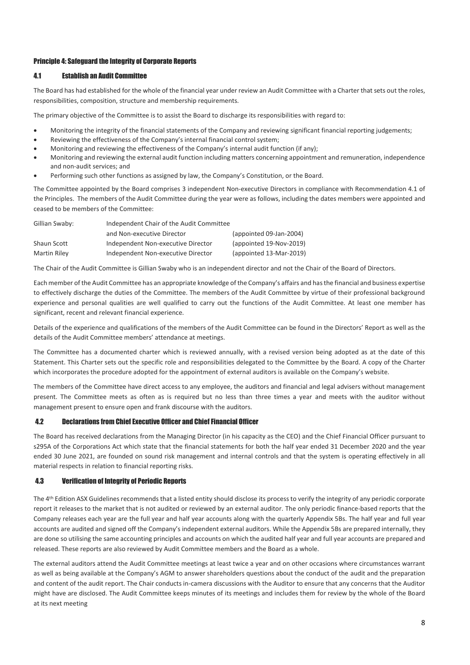### Principle 4: Safeguard the Integrity of Corporate Reports

# 4.1 Establish an Audit Committee

The Board has had established for the whole of the financial year under review an Audit Committee with a Charter that sets out the roles, responsibilities, composition, structure and membership requirements.

The primary objective of the Committee is to assist the Board to discharge its responsibilities with regard to:

- Monitoring the integrity of the financial statements of the Company and reviewing significant financial reporting judgements;
- Reviewing the effectiveness of the Company's internal financial control system;
- Monitoring and reviewing the effectiveness of the Company's internal audit function (if any);
- Monitoring and reviewing the external audit function including matters concerning appointment and remuneration, independence and non-audit services; and
- Performing such other functions as assigned by law, the Company's Constitution, or the Board.

The Committee appointed by the Board comprises 3 independent Non-executive Directors in compliance with Recommendation 4.1 of the Principles. The members of the Audit Committee during the year were as follows, including the dates members were appointed and ceased to be members of the Committee:

| Gillian Swaby: | Independent Chair of the Audit Committee |                         |  |
|----------------|------------------------------------------|-------------------------|--|
|                | and Non-executive Director               | (appointed 09-Jan-2004) |  |
| Shaun Scott    | Independent Non-executive Director       | (appointed 19-Nov-2019) |  |
| Martin Riley   | Independent Non-executive Director       | (appointed 13-Mar-2019) |  |

The Chair of the Audit Committee is Gillian Swaby who is an independent director and not the Chair of the Board of Directors.

Each member of the Audit Committee has an appropriate knowledge of the Company's affairs and has the financial and business expertise to effectively discharge the duties of the Committee. The members of the Audit Committee by virtue of their professional background experience and personal qualities are well qualified to carry out the functions of the Audit Committee. At least one member has significant, recent and relevant financial experience.

Details of the experience and qualifications of the members of the Audit Committee can be found in the Directors' Report as well as the details of the Audit Committee members' attendance at meetings.

The Committee has a documented charter which is reviewed annually, with a revised version being adopted as at the date of this Statement. This Charter sets out the specific role and responsibilities delegated to the Committee by the Board. A copy of the Charter which incorporates the procedure adopted for the appointment of external auditors is available on the Company's website.

The members of the Committee have direct access to any employee, the auditors and financial and legal advisers without management present. The Committee meets as often as is required but no less than three times a year and meets with the auditor without management present to ensure open and frank discourse with the auditors.

#### 4.2 Declarations from Chief Executive Officer and Chief Financial Officer

The Board has received declarations from the Managing Director (in his capacity as the CEO) and the Chief Financial Officer pursuant to s295A of the Corporations Act which state that the financial statements for both the half year ended 31 December 2020 and the year ended 30 June 2021, are founded on sound risk management and internal controls and that the system is operating effectively in all material respects in relation to financial reporting risks.

#### 4.3 Verification of Integrity of Periodic Reports

The 4th Edition ASX Guidelines recommends that a listed entity should disclose its process to verify the integrity of any periodic corporate report it releases to the market that is not audited or reviewed by an external auditor. The only periodic finance-based reports that the Company releases each year are the full year and half year accounts along with the quarterly Appendix 5Bs. The half year and full year accounts are audited and signed off the Company's independent external auditors. While the Appendix 5Bs are prepared internally, they are done so utilising the same accounting principles and accounts on which the audited half year and full year accounts are prepared and released. These reports are also reviewed by Audit Committee members and the Board as a whole.

The external auditors attend the Audit Committee meetings at least twice a year and on other occasions where circumstances warrant as well as being available at the Company's AGM to answer shareholders questions about the conduct of the audit and the preparation and content of the audit report. The Chair conducts in-camera discussions with the Auditor to ensure that any concerns that the Auditor might have are disclosed. The Audit Committee keeps minutes of its meetings and includes them for review by the whole of the Board at its next meeting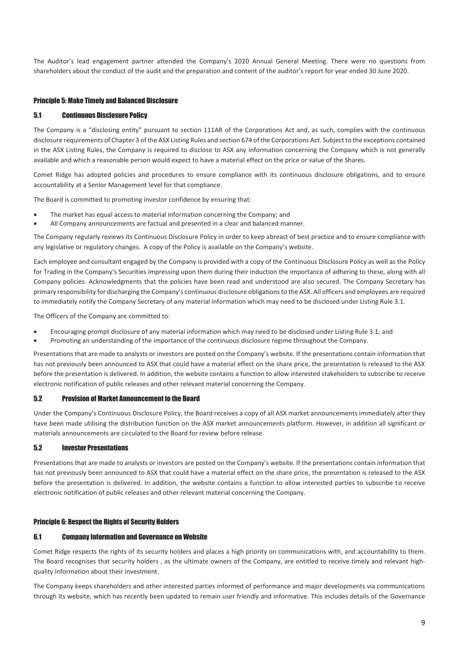The Auditor's lead engagement partner attended the Company's 2020 Annual General Meeting. There were no questions from shareholders about the conduct of the audit and the preparation and content of the auditor's report for year ended 30 June 2020.

### Principle 5: Make Timely and Balanced Disclosure

### 5.1 Continuous Disclosure Policy

The Company is a "disclosing entity" pursuant to section 111AR of the Corporations Act and, as such, complies with the continuous disclosure requirements of Chapter 3 of the ASX Listing Rules and section 674 of the Corporations Act. Subject to the exceptions contained in the ASX Listing Rules, the Company is required to disclose to ASX any information concerning the Company which is not generally available and which a reasonable person would expect to have a material effect on the price or value of the Shares.

Comet Ridge has adopted policies and procedures to ensure compliance with its continuous disclosure obligations, and to ensure accountability at a Senior Management level for that compliance.

The Board is committed to promoting investor confidence by ensuring that:

- The market has equal access to material information concerning the Company; and
- All Company announcements are factual and presented in a clear and balanced manner.

The Company regularly reviews its Continuous Disclosure Policy in order to keep abreast of best practice and to ensure compliance with any legislative or regulatory changes. A copy of the Policy is available on the Company's website.

Each employee and consultant engaged by the Company is provided with a copy of the Continuous Disclosure Policy as well as the Policy for Trading in the Company's Securities impressing upon them during their induction the importance of adhering to these, along with all Company policies. Acknowledgments that the policies have been read and understood are also secured. The Company Secretary has primary responsibility for discharging the Company's continuous disclosure obligations to the ASX. All officers and employees are required to immediately notify the Company Secretary of any material information which may need to be disclosed under Listing Rule 3.1.

The Officers of the Company are committed to:

- Encouraging prompt disclosure of any material information which may need to be disclosed under Listing Rule 3.1; and
- Promoting an understanding of the importance of the continuous disclosure regime throughout the Company.

Presentations that are made to analysts or investors are posted on the Company's website. If the presentations contain information that has not previously been announced to ASX that could have a material effect on the share price, the presentation is released to the ASX before the presentation is delivered. In addition, the website contains a function to allow interested stakeholders to subscribe to receive electronic notification of public releases and other relevant material concerning the Company.

#### 5.2 Provision of Market Announcement to the Board

Under the Company's Continuous Disclosure Policy, the Board receives a copy of all ASX market announcements immediately after they have been made utilising the distribution function on the ASX market announcements platform. However, in addition all significant or materials announcements are circulated to the Board for review before release.

#### 5.2 Investor Presentations

Presentations that are made to analysts or investors are posted on the Company's website. If the presentations contain information that has not previously been announced to ASX that could have a material effect on the share price, the presentation is released to the ASX before the presentation is delivered. In addition, the website contains a function to allow interested parties to subscribe to receive electronic notification of public releases and other relevant material concerning the Company.

#### Principle 6: Respect the Rights of Security Holders

#### 6.1 Company Information and Governance on Website

Comet Ridge respects the rights of its security holders and places a high priority on communications with, and accountability to them. The Board recognises that security holders , as the ultimate owners of the Company, are entitled to receive timely and relevant highquality information about their investment.

The Company keeps shareholders and other interested parties informed of performance and major developments via communications through its website, which has recently been updated to remain user friendly and informative. This includes details of the Governance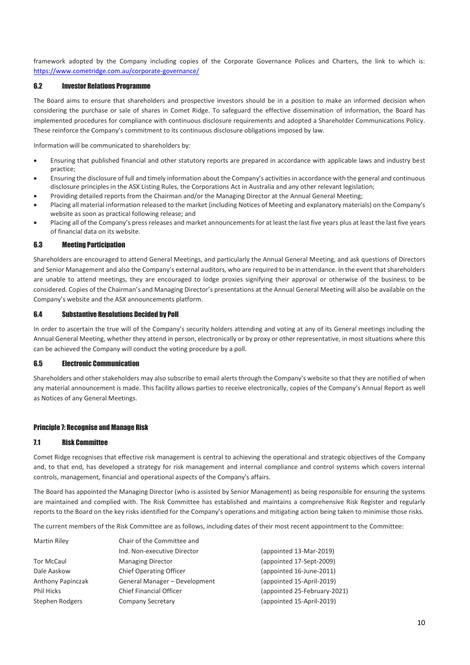framework adopted by the Company including copies of the Corporate Governance Polices and Charters, the link to which is: <https://www.cometridge.com.au/corporate-governance/>

### 6.2 Investor Relations Programme

The Board aims to ensure that shareholders and prospective investors should be in a position to make an informed decision when considering the purchase or sale of shares in Comet Ridge. To safeguard the effective dissemination of information, the Board has implemented procedures for compliance with continuous disclosure requirements and adopted a Shareholder Communications Policy. These reinforce the Company's commitment to its continuous disclosure obligations imposed by law.

Information will be communicated to shareholders by:

- Ensuring that published financial and other statutory reports are prepared in accordance with applicable laws and industry best practice;
- Ensuring the disclosure of full and timely information about the Company's activities in accordance with the general and continuous disclosure principles in the ASX Listing Rules, the Corporations Act in Australia and any other relevant legislation;
- Providing detailed reports from the Chairman and/or the Managing Director at the Annual General Meeting;
- Placing all material information released to the market (including Notices of Meeting and explanatory materials) on the Company's website as soon as practical following release; and
- Placing all of the Company's press releases and market announcements for at least the last five years plus at least the last five years of financial data on its website.

#### 6.3 Meeting Participation

Shareholders are encouraged to attend General Meetings, and particularly the Annual General Meeting, and ask questions of Directors and Senior Management and also the Company's external auditors, who are required to be in attendance. In the event that shareholders are unable to attend meetings, they are encouraged to lodge proxies signifying their approval or otherwise of the business to be considered. Copies of the Chairman's and Managing Director's presentations at the Annual General Meeting will also be available on the Company's website and the ASX announcements platform.

#### 6.4 Substantive Resolutions Decided by Poll

In order to ascertain the true will of the Company's security holders attending and voting at any of its General meetings including the Annual General Meeting, whether they attend in person, electronically or by proxy or other representative, in most situations where this can be achieved the Company will conduct the voting procedure by a poll.

#### 6.5 Electronic Communication

Shareholders and other stakeholders may also subscribe to email alerts through the Company's website so that they are notified of when any material announcement is made. This facility allows parties to receive electronically, copies of the Company's Annual Report as well as Notices of any General Meetings.

#### Principle 7: Recognise and Manage Risk

#### 7.1 Risk Committee

Comet Ridge recognises that effective risk management is central to achieving the operational and strategic objectives of the Company and, to that end, has developed a strategy for risk management and internal compliance and control systems which covers internal controls, management, financial and operational aspects of the Company's affairs.

The Board has appointed the Managing Director (who is assisted by Senior Management) as being responsible for ensuring the systems are maintained and complied with. The Risk Committee has established and maintains a comprehensive Risk Register and regularly reports to the Board on the key risks identified for the Company's operations and mitigating action being taken to minimise those risks.

The current members of the Risk Committee are as follows, including dates of their most recent appointment to the Committee:

| <b>Martin Riley</b> | Chair of the Committee and     |                              |  |
|---------------------|--------------------------------|------------------------------|--|
|                     | Ind. Non-executive Director    | (appointed 13-Mar-2019)      |  |
| <b>Tor McCaul</b>   | <b>Managing Director</b>       | (appointed 17-Sept-2009)     |  |
| Dale Aaskow         | <b>Chief Operating Officer</b> | (appointed 16-June-2011)     |  |
| Anthony Papinczak   | General Manager - Development  | (appointed 15-April-2019)    |  |
| <b>Phil Hicks</b>   | <b>Chief Financial Officer</b> | (appointed 25-February-2021) |  |
| Stephen Rodgers     | <b>Company Secretary</b>       | (appointed 15-April-2019)    |  |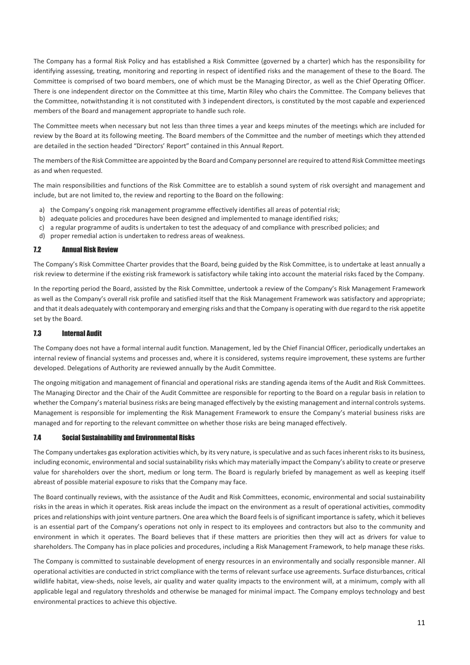The Company has a formal Risk Policy and has established a Risk Committee (governed by a charter) which has the responsibility for identifying assessing, treating, monitoring and reporting in respect of identified risks and the management of these to the Board. The Committee is comprised of two board members, one of which must be the Managing Director, as well as the Chief Operating Officer. There is one independent director on the Committee at this time, Martin Riley who chairs the Committee. The Company believes that the Committee, notwithstanding it is not constituted with 3 independent directors, is constituted by the most capable and experienced members of the Board and management appropriate to handle such role.

The Committee meets when necessary but not less than three times a year and keeps minutes of the meetings which are included for review by the Board at its following meeting. The Board members of the Committee and the number of meetings which they attended are detailed in the section headed "Directors' Report" contained in this Annual Report.

The members of the Risk Committee are appointed by the Board and Company personnel are required to attend Risk Committee meetings as and when requested.

The main responsibilities and functions of the Risk Committee are to establish a sound system of risk oversight and management and include, but are not limited to, the review and reporting to the Board on the following:

- a) the Company's ongoing risk management programme effectively identifies all areas of potential risk;
- b) adequate policies and procedures have been designed and implemented to manage identified risks;
- c) a regular programme of audits is undertaken to test the adequacy of and compliance with prescribed policies; and
- d) proper remedial action is undertaken to redress areas of weakness.

#### 7.2 Annual Risk Review

The Company's Risk Committee Charter provides that the Board, being guided by the Risk Committee, is to undertake at least annually a risk review to determine if the existing risk framework is satisfactory while taking into account the material risks faced by the Company.

In the reporting period the Board, assisted by the Risk Committee, undertook a review of the Company's Risk Management Framework as well as the Company's overall risk profile and satisfied itself that the Risk Management Framework was satisfactory and appropriate; and that it deals adequately with contemporary and emerging risks and that the Company is operating with due regard to the risk appetite set by the Board.

# 7.3 Internal Audit

The Company does not have a formal internal audit function. Management, led by the Chief Financial Officer, periodically undertakes an internal review of financial systems and processes and, where it is considered, systems require improvement, these systems are further developed. Delegations of Authority are reviewed annually by the Audit Committee.

The ongoing mitigation and management of financial and operational risks are standing agenda items of the Audit and Risk Committees. The Managing Director and the Chair of the Audit Committee are responsible for reporting to the Board on a regular basis in relation to whether the Company's material business risks are being managed effectively by the existing management and internal controls systems. Management is responsible for implementing the Risk Management Framework to ensure the Company's material business risks are managed and for reporting to the relevant committee on whether those risks are being managed effectively.

### 7.4 Social Sustainability and Environmental Risks

The Company undertakes gas exploration activities which, by its very nature, is speculative and as such faces inherent risks to its business, including economic, environmental and social sustainability risks which may materially impact the Company's ability to create or preserve value for shareholders over the short, medium or long term. The Board is regularly briefed by management as well as keeping itself abreast of possible material exposure to risks that the Company may face.

The Board continually reviews, with the assistance of the Audit and Risk Committees, economic, environmental and social sustainability risks in the areas in which it operates. Risk areas include the impact on the environment as a result of operational activities, commodity prices and relationships with joint venture partners. One area which the Board feels is of significant importance is safety, which it believes is an essential part of the Company's operations not only in respect to its employees and contractors but also to the community and environment in which it operates. The Board believes that if these matters are priorities then they will act as drivers for value to shareholders. The Company has in place policies and procedures, including a Risk Management Framework, to help manage these risks.

The Company is committed to sustainable development of energy resources in an environmentally and socially responsible manner. All operational activities are conducted in strict compliance with the terms of relevant surface use agreements. Surface disturbances, critical wildlife habitat, view-sheds, noise levels, air quality and water quality impacts to the environment will, at a minimum, comply with all applicable legal and regulatory thresholds and otherwise be managed for minimal impact. The Company employs technology and best environmental practices to achieve this objective.